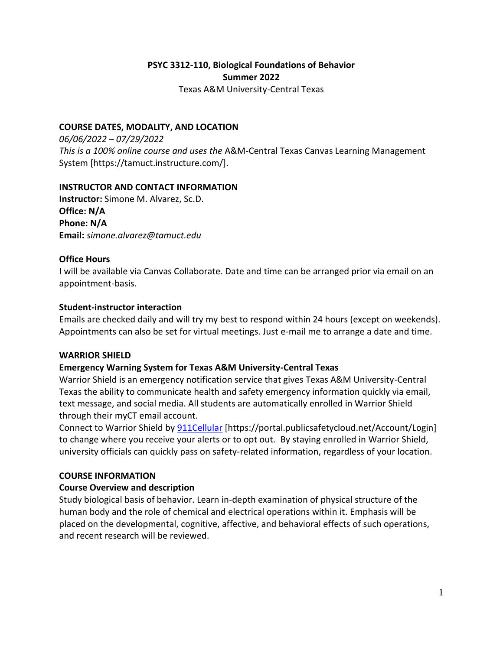# **PSYC 3312-110, Biological Foundations of Behavior Summer 2022**

Texas A&M University-Central Texas

### **COURSE DATES, MODALITY, AND LOCATION**

*06/06/2022 – 07/29/2022 This is a 100% online course and uses the* A&M-Central Texas Canvas Learning Management System [https://tamuct.instructure.com/].

### **INSTRUCTOR AND CONTACT INFORMATION**

**Instructor:** Simone M. Alvarez, Sc.D. **Office: N/A Phone: N/A Email:** *simone.alvarez@tamuct.edu*

# **Office Hours**

I will be available via Canvas Collaborate. Date and time can be arranged prior via email on an appointment-basis.

# **Student-instructor interaction**

Emails are checked daily and will try my best to respond within 24 hours (except on weekends). Appointments can also be set for virtual meetings. Just e-mail me to arrange a date and time.

### **WARRIOR SHIELD**

# **Emergency Warning System for Texas A&M University-Central Texas**

Warrior Shield is an emergency notification service that gives Texas A&M University-Central Texas the ability to communicate health and safety emergency information quickly via email, text message, and social media. All students are automatically enrolled in Warrior Shield through their myCT email account.

Connect to Warrior Shield by **911Cellular** [https://portal.publicsafetycloud.net/Account/Login] to change where you receive your alerts or to opt out. By staying enrolled in Warrior Shield, university officials can quickly pass on safety-related information, regardless of your location.

### **COURSE INFORMATION**

# **Course Overview and description**

Study biological basis of behavior. Learn in-depth examination of physical structure of the human body and the role of chemical and electrical operations within it. Emphasis will be placed on the developmental, cognitive, affective, and behavioral effects of such operations, and recent research will be reviewed.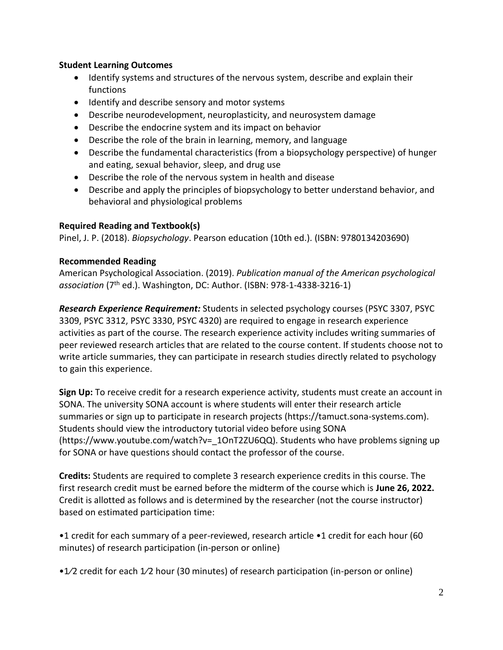# **Student Learning Outcomes**

- Identify systems and structures of the nervous system, describe and explain their functions
- Identify and describe sensory and motor systems
- Describe neurodevelopment, neuroplasticity, and neurosystem damage
- Describe the endocrine system and its impact on behavior
- Describe the role of the brain in learning, memory, and language
- Describe the fundamental characteristics (from a biopsychology perspective) of hunger and eating, sexual behavior, sleep, and drug use
- Describe the role of the nervous system in health and disease
- Describe and apply the principles of biopsychology to better understand behavior, and behavioral and physiological problems

# **Required Reading and Textbook(s)**

Pinel, J. P. (2018). *Biopsychology*. Pearson education (10th ed.). (ISBN: 9780134203690)

# **Recommended Reading**

American Psychological Association. (2019). *Publication manual of the American psychological*  association (7<sup>th</sup> ed.). Washington, DC: Author. (ISBN: 978-1-4338-3216-1)

*Research Experience Requirement:* Students in selected psychology courses (PSYC 3307, PSYC 3309, PSYC 3312, PSYC 3330, PSYC 4320) are required to engage in research experience activities as part of the course. The research experience activity includes writing summaries of peer reviewed research articles that are related to the course content. If students choose not to write article summaries, they can participate in research studies directly related to psychology to gain this experience.

**Sign Up:** To receive credit for a research experience activity, students must create an account in SONA. The university SONA account is where students will enter their research article summaries or sign up to participate in research projects (https://tamuct.sona-systems.com). Students should view the introductory tutorial video before using SONA (https://www.youtube.com/watch?v=\_1OnT2ZU6QQ). Students who have problems signing up for SONA or have questions should contact the professor of the course.

**Credits:** Students are required to complete 3 research experience credits in this course. The first research credit must be earned before the midterm of the course which is **June 26, 2022.**  Credit is allotted as follows and is determined by the researcher (not the course instructor) based on estimated participation time:

•1 credit for each summary of a peer-reviewed, research article •1 credit for each hour (60 minutes) of research participation (in-person or online)

•1⁄2 credit for each 1⁄2 hour (30 minutes) of research participation (in-person or online)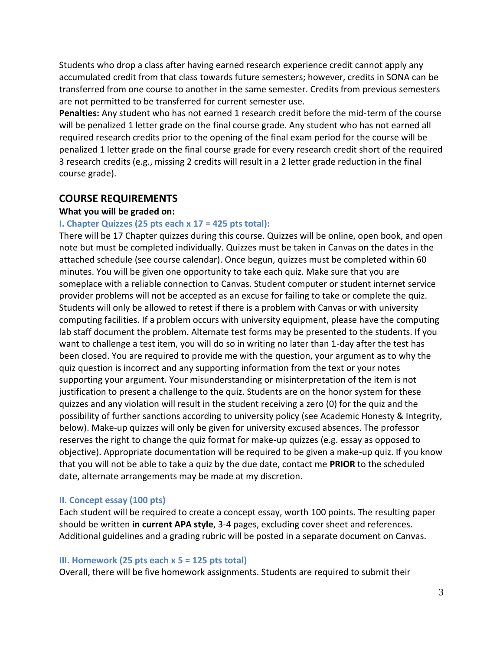Students who drop a class after having earned research experience credit cannot apply any accumulated credit from that class towards future semesters; however, credits in SONA can be transferred from one course to another in the same semester. Credits from previous semesters are not permitted to be transferred for current semester use.

**Penalties:** Any student who has not earned 1 research credit before the mid-term of the course will be penalized 1 letter grade on the final course grade. Any student who has not earned all required research credits prior to the opening of the final exam period for the course will be penalized 1 letter grade on the final course grade for every research credit short of the required 3 research credits (e.g., missing 2 credits will result in a 2 letter grade reduction in the final course grade).

### **COURSE REQUIREMENTS**

### **What you will be graded on:**

#### **I. Chapter Quizzes (25 pts each x 17 = 425 pts total):**

There will be 17 Chapter quizzes during this course. Quizzes will be online, open book, and open note but must be completed individually. Quizzes must be taken in Canvas on the dates in the attached schedule (see course calendar). Once begun, quizzes must be completed within 60 minutes. You will be given one opportunity to take each quiz. Make sure that you are someplace with a reliable connection to Canvas. Student computer or student internet service provider problems will not be accepted as an excuse for failing to take or complete the quiz. Students will only be allowed to retest if there is a problem with Canvas or with university computing facilities. If a problem occurs with university equipment, please have the computing lab staff document the problem. Alternate test forms may be presented to the students. If you want to challenge a test item, you will do so in writing no later than 1-day after the test has been closed. You are required to provide me with the question, your argument as to why the quiz question is incorrect and any supporting information from the text or your notes supporting your argument. Your misunderstanding or misinterpretation of the item is not justification to present a challenge to the quiz. Students are on the honor system for these quizzes and any violation will result in the student receiving a zero (0) for the quiz and the possibility of further sanctions according to university policy (see Academic Honesty & Integrity, below). Make-up quizzes will only be given for university excused absences. The professor reserves the right to change the quiz format for make-up quizzes (e.g. essay as opposed to objective). Appropriate documentation will be required to be given a make-up quiz. If you know that you will not be able to take a quiz by the due date, contact me **PRIOR** to the scheduled date, alternate arrangements may be made at my discretion.

#### **II. Concept essay (100 pts)**

Each student will be required to create a concept essay, worth 100 points. The resulting paper should be written **in current APA style**, 3-4 pages, excluding cover sheet and references. Additional guidelines and a grading rubric will be posted in a separate document on Canvas.

#### **III. Homework (25 pts each x 5 = 125 pts total)**

Overall, there will be five homework assignments. Students are required to submit their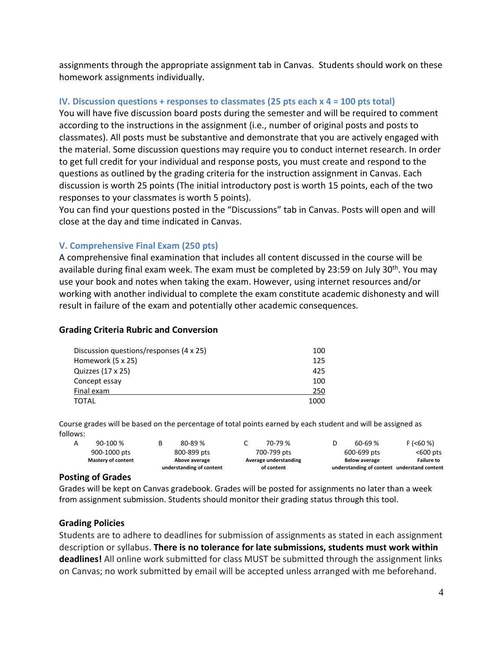assignments through the appropriate assignment tab in Canvas. Students should work on these homework assignments individually.

# **IV. Discussion questions + responses to classmates (25 pts each x 4 = 100 pts total)**

You will have five discussion board posts during the semester and will be required to comment according to the instructions in the assignment (i.e., number of original posts and posts to classmates). All posts must be substantive and demonstrate that you are actively engaged with the material. Some discussion questions may require you to conduct internet research. In order to get full credit for your individual and response posts, you must create and respond to the questions as outlined by the grading criteria for the instruction assignment in Canvas. Each discussion is worth 25 points (The initial introductory post is worth 15 points, each of the two responses to your classmates is worth 5 points).

You can find your questions posted in the "Discussions" tab in Canvas. Posts will open and will close at the day and time indicated in Canvas.

# **V. Comprehensive Final Exam (250 pts)**

A comprehensive final examination that includes all content discussed in the course will be available during final exam week. The exam must be completed by 23:59 on July 30<sup>th</sup>. You may use your book and notes when taking the exam. However, using internet resources and/or working with another individual to complete the exam constitute academic dishonesty and will result in failure of the exam and potentially other academic consequences.

### **Grading Criteria Rubric and Conversion**

| Discussion questions/responses (4 x 25) | 100  |
|-----------------------------------------|------|
| Homework (5 x 25)                       | 125  |
| Quizzes (17 x 25)                       | 425  |
| Concept essay                           | 100  |
| Final exam                              | 250  |
| <b>TOTAL</b>                            | 1000 |

Course grades will be based on the percentage of total points earned by each student and will be assigned as follows:

|                    |   | understanding of content | of content            |                      | understanding of content understand content |
|--------------------|---|--------------------------|-----------------------|----------------------|---------------------------------------------|
| Mastery of content |   | Above average            | Average understanding | <b>Below average</b> | <b>Failure to</b>                           |
| 900-1000 pts       |   | 800-899 pts              | 700-799 pts           | 600-699 pts          | $<$ 600 pts                                 |
| 90-100 %           | в | 80-89 %                  | 70-79 %               | $60 - 69%$           | F (560%)                                    |

#### **Posting of Grades**

Grades will be kept on Canvas gradebook. Grades will be posted for assignments no later than a week from assignment submission. Students should monitor their grading status through this tool.

### **Grading Policies**

Students are to adhere to deadlines for submission of assignments as stated in each assignment description or syllabus. **There is no tolerance for late submissions, students must work within deadlines!** All online work submitted for class MUST be submitted through the assignment links on Canvas; no work submitted by email will be accepted unless arranged with me beforehand.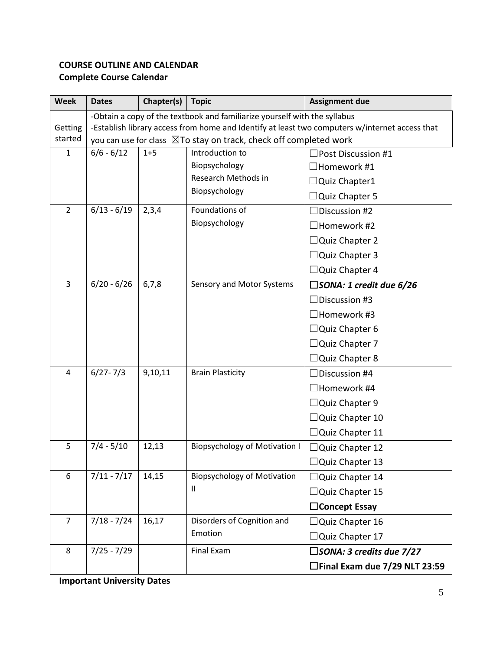# **COURSE OUTLINE AND CALENDAR Complete Course Calendar**

| <b>Week</b>        | <b>Dates</b>                                                                                                                                                                   | Chapter(s) | <b>Topic</b>                          | <b>Assignment due</b>                |  |  |  |  |
|--------------------|--------------------------------------------------------------------------------------------------------------------------------------------------------------------------------|------------|---------------------------------------|--------------------------------------|--|--|--|--|
|                    | -Obtain a copy of the textbook and familiarize yourself with the syllabus                                                                                                      |            |                                       |                                      |  |  |  |  |
| Getting<br>started | -Establish library access from home and Identify at least two computers w/internet access that<br>you can use for class $\boxtimes$ To stay on track, check off completed work |            |                                       |                                      |  |  |  |  |
| $\mathbf{1}$       | $6/6 - 6/12$                                                                                                                                                                   | $1 + 5$    | Introduction to<br>Post Discussion #1 |                                      |  |  |  |  |
|                    |                                                                                                                                                                                |            | Biopsychology                         | $\Box$ Homework #1                   |  |  |  |  |
|                    |                                                                                                                                                                                |            | Research Methods in                   | $\Box$ Quiz Chapter1                 |  |  |  |  |
|                    |                                                                                                                                                                                |            | Biopsychology                         | $\Box$ Quiz Chapter 5                |  |  |  |  |
| $\overline{2}$     | $6/13 - 6/19$                                                                                                                                                                  | 2,3,4      | Foundations of                        | $\Box$ Discussion #2                 |  |  |  |  |
|                    |                                                                                                                                                                                |            | Biopsychology                         | $\Box$ Homework #2                   |  |  |  |  |
|                    |                                                                                                                                                                                |            |                                       | $\Box$ Quiz Chapter 2                |  |  |  |  |
|                    |                                                                                                                                                                                |            |                                       | $\Box$ Quiz Chapter 3                |  |  |  |  |
|                    |                                                                                                                                                                                |            |                                       | □ Quiz Chapter 4                     |  |  |  |  |
| 3                  | $6/20 - 6/26$                                                                                                                                                                  | 6,7,8      | Sensory and Motor Systems             | $\square$ SONA: 1 credit due 6/26    |  |  |  |  |
|                    |                                                                                                                                                                                |            |                                       | $\Box$ Discussion #3                 |  |  |  |  |
|                    |                                                                                                                                                                                |            |                                       | $\Box$ Homework #3                   |  |  |  |  |
|                    |                                                                                                                                                                                |            |                                       | $\Box$ Quiz Chapter 6                |  |  |  |  |
|                    |                                                                                                                                                                                |            |                                       | $\Box$ Quiz Chapter 7                |  |  |  |  |
|                    |                                                                                                                                                                                |            |                                       | $\Box$ Quiz Chapter 8                |  |  |  |  |
| $\overline{4}$     | $6/27 - 7/3$                                                                                                                                                                   | 9,10,11    | <b>Brain Plasticity</b>               | Discussion #4                        |  |  |  |  |
|                    |                                                                                                                                                                                |            |                                       | $\Box$ Homework #4                   |  |  |  |  |
|                    |                                                                                                                                                                                |            |                                       | $\Box$ Quiz Chapter 9                |  |  |  |  |
|                    |                                                                                                                                                                                |            |                                       | □Quiz Chapter 10                     |  |  |  |  |
|                    |                                                                                                                                                                                |            |                                       | $\Box$ Quiz Chapter 11               |  |  |  |  |
| 5                  | $7/4 - 5/10$                                                                                                                                                                   | 12,13      | <b>Biopsychology of Motivation I</b>  | $\Box$ Quiz Chapter 12               |  |  |  |  |
|                    |                                                                                                                                                                                |            |                                       | $\Box$ Quiz Chapter 13               |  |  |  |  |
| 6                  | $7/11 - 7/17$                                                                                                                                                                  | 14,15      | <b>Biopsychology of Motivation</b>    | $\Box$ Quiz Chapter 14               |  |  |  |  |
|                    |                                                                                                                                                                                |            | Ш                                     | □Quiz Chapter 15                     |  |  |  |  |
|                    |                                                                                                                                                                                |            |                                       | $\Box$ Concept Essay                 |  |  |  |  |
| $\overline{7}$     | $7/18 - 7/24$                                                                                                                                                                  | 16,17      | Disorders of Cognition and            | $\Box$ Quiz Chapter 16               |  |  |  |  |
|                    |                                                                                                                                                                                |            | Emotion                               | Quiz Chapter 17                      |  |  |  |  |
| 8                  | $7/25 - 7/29$                                                                                                                                                                  |            | Final Exam                            | $\square$ SONA: 3 credits due 7/27   |  |  |  |  |
|                    |                                                                                                                                                                                |            |                                       | $\Box$ Final Exam due 7/29 NLT 23:59 |  |  |  |  |

**Important University Dates**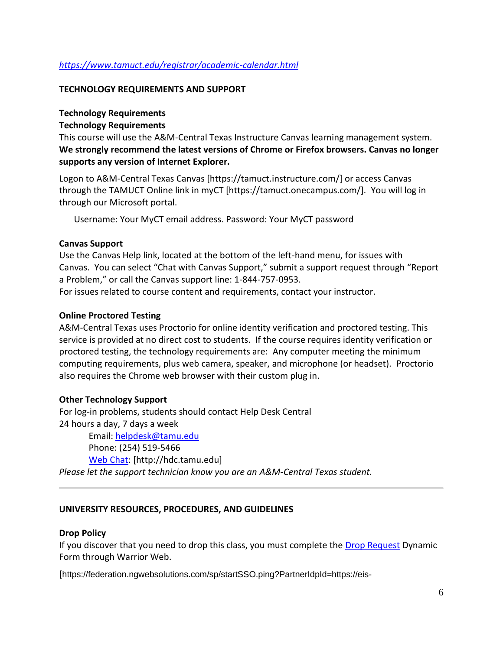# *<https://www.tamuct.edu/registrar/academic-calendar.html>*

#### **TECHNOLOGY REQUIREMENTS AND SUPPORT**

#### **Technology Requirements**

### **Technology Requirements**

This course will use the A&M-Central Texas Instructure Canvas learning management system. **We strongly recommend the latest versions of Chrome or Firefox browsers. Canvas no longer supports any version of Internet Explorer.**

Logon to A&M-Central Texas Canvas [https://tamuct.instructure.com/] or access Canvas through the TAMUCT Online link in myCT [https://tamuct.onecampus.com/]. You will log in through our Microsoft portal.

Username: Your MyCT email address. Password: Your MyCT password

#### **Canvas Support**

Use the Canvas Help link, located at the bottom of the left-hand menu, for issues with Canvas. You can select "Chat with Canvas Support," submit a support request through "Report a Problem," or call the Canvas support line: 1-844-757-0953.

For issues related to course content and requirements, contact your instructor.

#### **Online Proctored Testing**

A&M-Central Texas uses Proctorio for online identity verification and proctored testing. This service is provided at no direct cost to students. If the course requires identity verification or proctored testing, the technology requirements are: Any computer meeting the minimum computing requirements, plus web camera, speaker, and microphone (or headset). Proctorio also requires the Chrome web browser with their custom plug in.

### **Other Technology Support**

For log-in problems, students should contact Help Desk Central 24 hours a day, 7 days a week

Email: [helpdesk@tamu.edu](mailto:helpdesk@tamu.edu) Phone: (254) 519-5466 [Web Chat:](http://hdc.tamu.edu/) [http://hdc.tamu.edu] *Please let the support technician know you are an A&M-Central Texas student.*

### **UNIVERSITY RESOURCES, PROCEDURES, AND GUIDELINES**

#### **Drop Policy**

If you discover that you need to drop this class, you must complete the [Drop Request](https://federation.ngwebsolutions.com/sp/startSSO.ping?PartnerIdpId=https://eis-prod.ec.tamuct.edu:443/samlsso&SpSessionAuthnAdapterId=tamuctDF&TargetResource=https%3a%2f%2fdynamicforms.ngwebsolutions.com%2fSubmit%2fStart%2f53b8369e-0502-4f36-be43-f02a4202f612) Dynamic Form through Warrior Web.

[https://federation.ngwebsolutions.com/sp/startSSO.ping?PartnerIdpId=https://eis-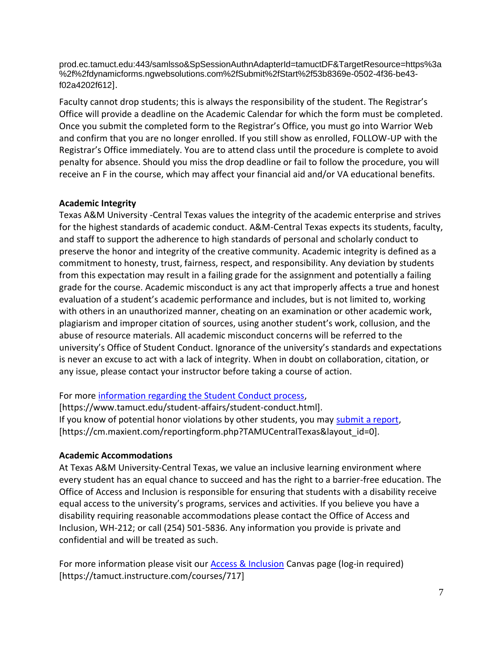prod.ec.tamuct.edu:443/samlsso&SpSessionAuthnAdapterId=tamuctDF&TargetResource=https%3a %2f%2fdynamicforms.ngwebsolutions.com%2fSubmit%2fStart%2f53b8369e-0502-4f36-be43 f02a4202f612].

Faculty cannot drop students; this is always the responsibility of the student. The Registrar's Office will provide a deadline on the Academic Calendar for which the form must be completed. Once you submit the completed form to the Registrar's Office, you must go into Warrior Web and confirm that you are no longer enrolled. If you still show as enrolled, FOLLOW-UP with the Registrar's Office immediately. You are to attend class until the procedure is complete to avoid penalty for absence. Should you miss the drop deadline or fail to follow the procedure, you will receive an F in the course, which may affect your financial aid and/or VA educational benefits.

# **Academic Integrity**

Texas A&M University -Central Texas values the integrity of the academic enterprise and strives for the highest standards of academic conduct. A&M-Central Texas expects its students, faculty, and staff to support the adherence to high standards of personal and scholarly conduct to preserve the honor and integrity of the creative community. Academic integrity is defined as a commitment to honesty, trust, fairness, respect, and responsibility. Any deviation by students from this expectation may result in a failing grade for the assignment and potentially a failing grade for the course. Academic misconduct is any act that improperly affects a true and honest evaluation of a student's academic performance and includes, but is not limited to, working with others in an unauthorized manner, cheating on an examination or other academic work, plagiarism and improper citation of sources, using another student's work, collusion, and the abuse of resource materials. All academic misconduct concerns will be referred to the university's Office of Student Conduct. Ignorance of the university's standards and expectations is never an excuse to act with a lack of integrity. When in doubt on collaboration, citation, or any issue, please contact your instructor before taking a course of action.

# For more [information regarding the Student Conduct process,](https://www.tamuct.edu/student-affairs/student-conduct.html)

[https://www.tamuct.edu/student-affairs/student-conduct.html]. If you know of potential honor violations by other students, you may [submit a report,](https://cm.maxient.com/reportingform.php?TAMUCentralTexas&layout_id=0) [https://cm.maxient.com/reportingform.php?TAMUCentralTexas&layout\_id=0].

# **Academic Accommodations**

At Texas A&M University-Central Texas, we value an inclusive learning environment where every student has an equal chance to succeed and has the right to a barrier-free education. The Office of Access and Inclusion is responsible for ensuring that students with a disability receive equal access to the university's programs, services and activities. If you believe you have a disability requiring reasonable accommodations please contact the Office of Access and Inclusion, WH-212; or call (254) 501-5836. Any information you provide is private and confidential and will be treated as such.

For more information please visit our **Access & Inclusion** Canvas page (log-in required) [https://tamuct.instructure.com/courses/717]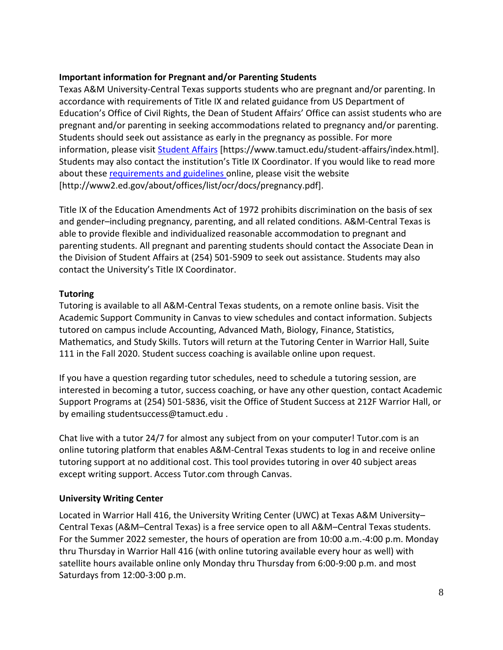# **Important information for Pregnant and/or Parenting Students**

Texas A&M University-Central Texas supports students who are pregnant and/or parenting. In accordance with requirements of Title IX and related guidance from US Department of Education's Office of Civil Rights, the Dean of Student Affairs' Office can assist students who are pregnant and/or parenting in seeking accommodations related to pregnancy and/or parenting. Students should seek out assistance as early in the pregnancy as possible. For more information, please visit [Student Affairs](https://www.tamuct.edu/student-affairs/index.html) [https://www.tamuct.edu/student-affairs/index.html]. Students may also contact the institution's Title IX Coordinator. If you would like to read more about these [requirements and guidelines](http://www2.ed.gov/about/offices/list/ocr/docs/pregnancy.pdf) online, please visit the website [http://www2.ed.gov/about/offices/list/ocr/docs/pregnancy.pdf].

Title IX of the Education Amendments Act of 1972 prohibits discrimination on the basis of sex and gender–including pregnancy, parenting, and all related conditions. A&M-Central Texas is able to provide flexible and individualized reasonable accommodation to pregnant and parenting students. All pregnant and parenting students should contact the Associate Dean in the Division of Student Affairs at (254) 501-5909 to seek out assistance. Students may also contact the University's Title IX Coordinator.

# **Tutoring**

Tutoring is available to all A&M-Central Texas students, on a remote online basis. Visit the Academic Support Community in Canvas to view schedules and contact information. Subjects tutored on campus include Accounting, Advanced Math, Biology, Finance, Statistics, Mathematics, and Study Skills. Tutors will return at the Tutoring Center in Warrior Hall, Suite 111 in the Fall 2020. Student success coaching is available online upon request.

If you have a question regarding tutor schedules, need to schedule a tutoring session, are interested in becoming a tutor, success coaching, or have any other question, contact Academic Support Programs at (254) 501-5836, visit the Office of Student Success at 212F Warrior Hall, or by emailing studentsuccess@tamuct.edu .

Chat live with a tutor 24/7 for almost any subject from on your computer! Tutor.com is an online tutoring platform that enables A&M-Central Texas students to log in and receive online tutoring support at no additional cost. This tool provides tutoring in over 40 subject areas except writing support. Access Tutor.com through Canvas.

### **University Writing Center**

Located in Warrior Hall 416, the University Writing Center (UWC) at Texas A&M University– Central Texas (A&M–Central Texas) is a free service open to all A&M–Central Texas students. For the Summer 2022 semester, the hours of operation are from 10:00 a.m.-4:00 p.m. Monday thru Thursday in Warrior Hall 416 (with online tutoring available every hour as well) with satellite hours available online only Monday thru Thursday from 6:00-9:00 p.m. and most Saturdays from 12:00-3:00 p.m.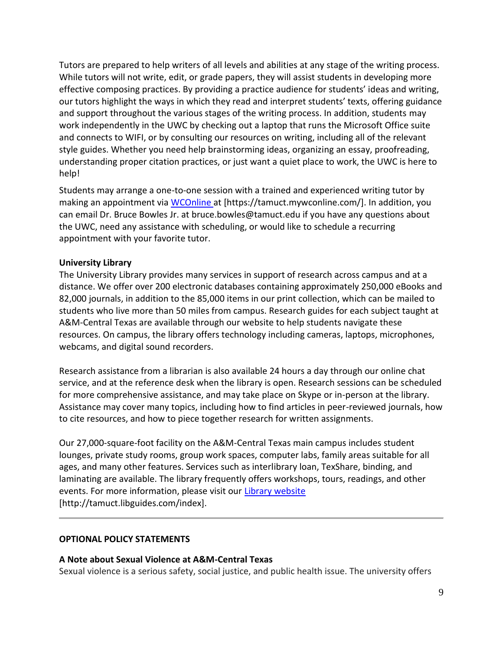Tutors are prepared to help writers of all levels and abilities at any stage of the writing process. While tutors will not write, edit, or grade papers, they will assist students in developing more effective composing practices. By providing a practice audience for students' ideas and writing, our tutors highlight the ways in which they read and interpret students' texts, offering guidance and support throughout the various stages of the writing process. In addition, students may work independently in the UWC by checking out a laptop that runs the Microsoft Office suite and connects to WIFI, or by consulting our resources on writing, including all of the relevant style guides. Whether you need help brainstorming ideas, organizing an essay, proofreading, understanding proper citation practices, or just want a quiet place to work, the UWC is here to help!

Students may arrange a one-to-one session with a trained and experienced writing tutor by making an appointment via [WCOnline](https://tamuct.mywconline.com/) at [https://tamuct.mywconline.com/]. In addition, you can email Dr. Bruce Bowles Jr. at bruce.bowles@tamuct.edu if you have any questions about the UWC, need any assistance with scheduling, or would like to schedule a recurring appointment with your favorite tutor.

# **University Library**

The University Library provides many services in support of research across campus and at a distance. We offer over 200 electronic databases containing approximately 250,000 eBooks and 82,000 journals, in addition to the 85,000 items in our print collection, which can be mailed to students who live more than 50 miles from campus. Research guides for each subject taught at A&M-Central Texas are available through our website to help students navigate these resources. On campus, the library offers technology including cameras, laptops, microphones, webcams, and digital sound recorders.

Research assistance from a librarian is also available 24 hours a day through our online chat service, and at the reference desk when the library is open. Research sessions can be scheduled for more comprehensive assistance, and may take place on Skype or in-person at the library. Assistance may cover many topics, including how to find articles in peer-reviewed journals, how to cite resources, and how to piece together research for written assignments.

Our 27,000-square-foot facility on the A&M-Central Texas main campus includes student lounges, private study rooms, group work spaces, computer labs, family areas suitable for all ages, and many other features. Services such as interlibrary loan, TexShare, binding, and laminating are available. The library frequently offers workshops, tours, readings, and other events. For more information, please visit our [Library website](https://tamuct.libguides.com/index) [http://tamuct.libguides.com/index].

### **OPTIONAL POLICY STATEMENTS**

### **A Note about Sexual Violence at A&M-Central Texas**

Sexual violence is a serious safety, social justice, and public health issue. The university offers